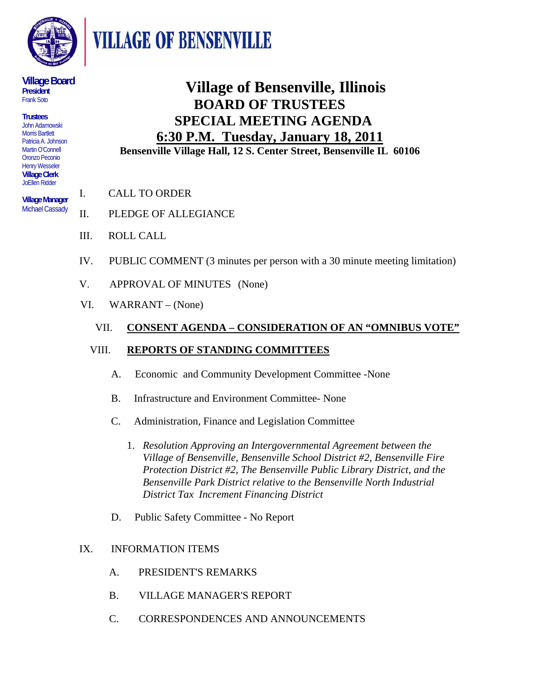

**VILLAGE OF BENSENVILLE** 

#### **Village Board President**  Frank Soto

**Trustees**  John Adamowski Morris Bartlett Patricia A. Johnson Martin O'Connell Oronzo Peconio Henry Wesseler **Village Clerk**  JoEllen Ridder

**Village Manager**  Michael Cassady

# **Village of Bensenville, Illinois BOARD OF TRUSTEES SPECIAL MEETING AGENDA 6:30 P.M. Tuesday, January 18, 2011 Bensenville Village Hall, 12 S. Center Street, Bensenville IL 60106**

- I. CALL TO ORDER
- II. PLEDGE OF ALLEGIANCE
- III. ROLL CALL
- IV. PUBLIC COMMENT (3 minutes per person with a 30 minute meeting limitation)
- V. APPROVAL OF MINUTES (None)
- VI. WARRANT (None)

### VII. **CONSENT AGENDA – CONSIDERATION OF AN "OMNIBUS VOTE"**

### VIII. **REPORTS OF STANDING COMMITTEES**

- A. Economic and Community Development Committee -None
- B. Infrastructure and Environment Committee- None
- C. Administration, Finance and Legislation Committee
	- 1. *Resolution Approving an Intergovernmental Agreement between the Village of Bensenville, Bensenville School District #2, Bensenville Fire Protection District #2, The Bensenville Public Library District, and the Bensenville Park District relative to the Bensenville North Industrial District Tax Increment Financing District*
- D. Public Safety Committee No Report

### IX. INFORMATION ITEMS

- A. PRESIDENT'S REMARKS
- B. VILLAGE MANAGER'S REPORT
- C. CORRESPONDENCES AND ANNOUNCEMENTS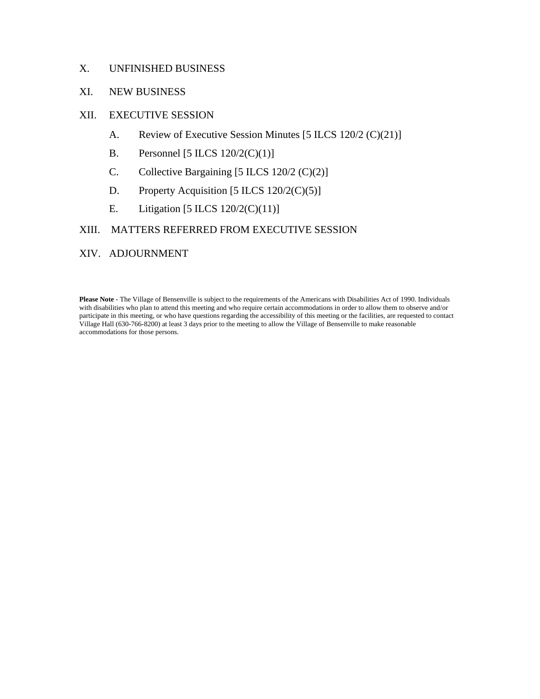#### X. UNFINISHED BUSINESS

#### XI. NEW BUSINESS

#### XII. EXECUTIVE SESSION

- A. Review of Executive Session Minutes [5 ILCS 120/2 (C)(21)]
- B. Personnel [5 ILCS 120/2(C)(1)]
- C. Collective Bargaining [5 ILCS 120/2 (C)(2)]
- D. Property Acquisition [5 ILCS 120/2(C)(5)]
- E. Litigation [5 ILCS 120/2(C)(11)]

#### XIII. MATTERS REFERRED FROM EXECUTIVE SESSION

#### XIV. ADJOURNMENT

**Please Note** - The Village of Bensenville is subject to the requirements of the Americans with Disabilities Act of 1990. Individuals with disabilities who plan to attend this meeting and who require certain accommodations in order to allow them to observe and/or participate in this meeting, or who have questions regarding the accessibility of this meeting or the facilities, are requested to contact Village Hall (630-766-8200) at least 3 days prior to the meeting to allow the Village of Bensenville to make reasonable accommodations for those persons.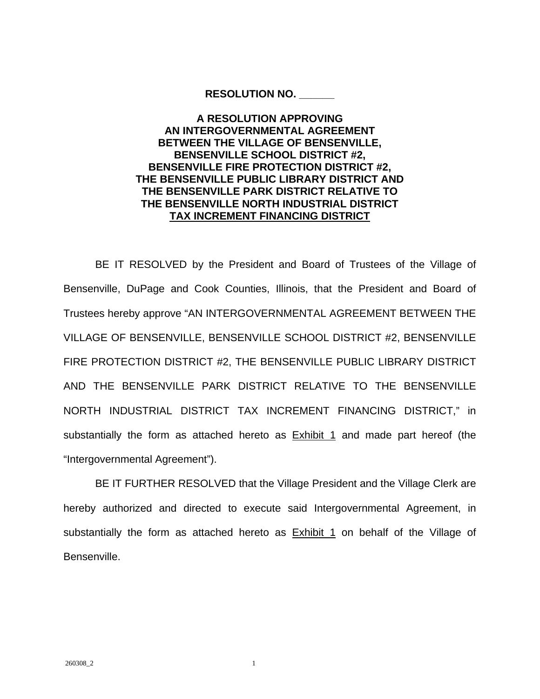#### **RESOLUTION NO. \_\_\_\_\_\_**

#### **A RESOLUTION APPROVING AN INTERGOVERNMENTAL AGREEMENT BETWEEN THE VILLAGE OF BENSENVILLE, BENSENVILLE SCHOOL DISTRICT #2, BENSENVILLE FIRE PROTECTION DISTRICT #2, THE BENSENVILLE PUBLIC LIBRARY DISTRICT AND THE BENSENVILLE PARK DISTRICT RELATIVE TO THE BENSENVILLE NORTH INDUSTRIAL DISTRICT TAX INCREMENT FINANCING DISTRICT**

 BE IT RESOLVED by the President and Board of Trustees of the Village of Bensenville, DuPage and Cook Counties, Illinois, that the President and Board of Trustees hereby approve "AN INTERGOVERNMENTAL AGREEMENT BETWEEN THE VILLAGE OF BENSENVILLE, BENSENVILLE SCHOOL DISTRICT #2, BENSENVILLE FIRE PROTECTION DISTRICT #2, THE BENSENVILLE PUBLIC LIBRARY DISTRICT AND THE BENSENVILLE PARK DISTRICT RELATIVE TO THE BENSENVILLE NORTH INDUSTRIAL DISTRICT TAX INCREMENT FINANCING DISTRICT," in substantially the form as attached hereto as **Exhibit 1** and made part hereof (the "Intergovernmental Agreement").

 BE IT FURTHER RESOLVED that the Village President and the Village Clerk are hereby authorized and directed to execute said Intergovernmental Agreement, in substantially the form as attached hereto as **Exhibit 1** on behalf of the Village of Bensenville.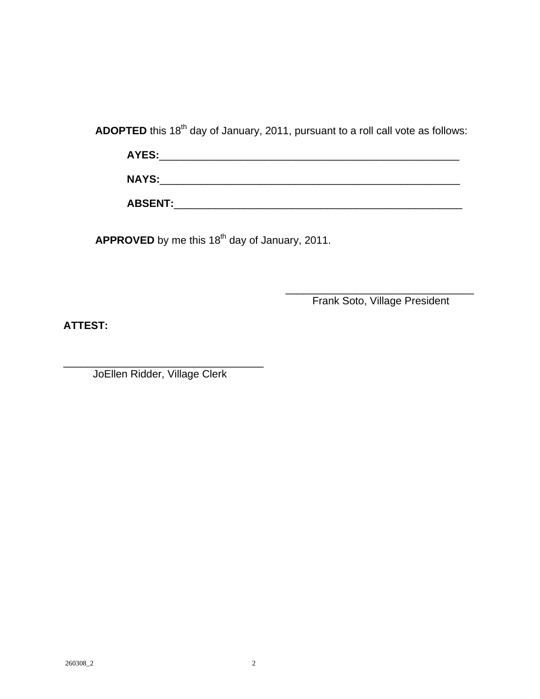ADOPTED this 18<sup>th</sup> day of January, 2011, pursuant to a roll call vote as follows:

 **AYES:**\_\_\_\_\_\_\_\_\_\_\_\_\_\_\_\_\_\_\_\_\_\_\_\_\_\_\_\_\_\_\_\_\_\_\_\_\_\_\_\_\_\_\_\_\_\_\_\_\_\_\_ **NAYS:**\_\_\_\_\_\_\_\_\_\_\_\_\_\_\_\_\_\_\_\_\_\_\_\_\_\_\_\_\_\_\_\_\_\_\_\_\_\_\_\_\_\_\_\_\_\_\_\_\_\_\_ **ABSENT:**\_\_\_\_\_\_\_\_\_\_\_\_\_\_\_\_\_\_\_\_\_\_\_\_\_\_\_\_\_\_\_\_\_\_\_\_\_\_\_\_\_\_\_\_\_\_\_\_\_

APPROVED by me this 18<sup>th</sup> day of January, 2011.

 $\overline{\phantom{a}}$  , and the contract of the contract of the contract of the contract of the contract of the contract of the contract of the contract of the contract of the contract of the contract of the contract of the contrac Frank Soto, Village President

**ATTEST:**

\_\_\_\_\_\_\_\_\_\_\_\_\_\_\_\_\_\_\_\_\_\_\_\_\_\_\_\_\_\_\_\_\_\_ JoEllen Ridder, Village Clerk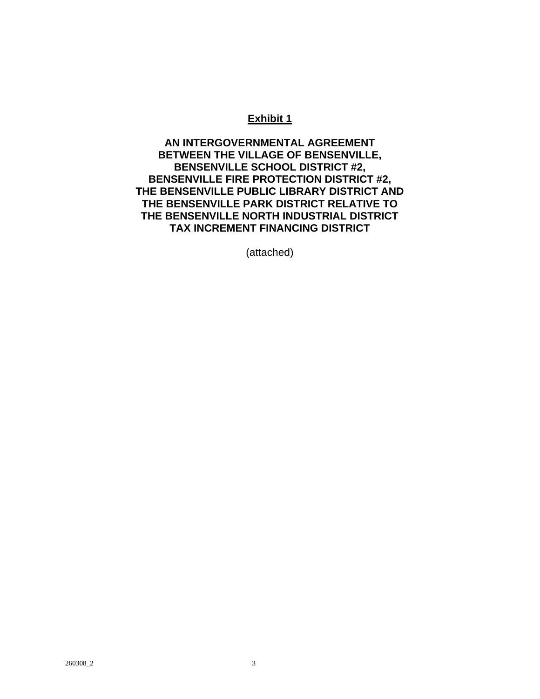#### **Exhibit 1**

**AN INTERGOVERNMENTAL AGREEMENT BETWEEN THE VILLAGE OF BENSENVILLE, BENSENVILLE SCHOOL DISTRICT #2, BENSENVILLE FIRE PROTECTION DISTRICT #2, THE BENSENVILLE PUBLIC LIBRARY DISTRICT AND THE BENSENVILLE PARK DISTRICT RELATIVE TO THE BENSENVILLE NORTH INDUSTRIAL DISTRICT TAX INCREMENT FINANCING DISTRICT** 

(attached)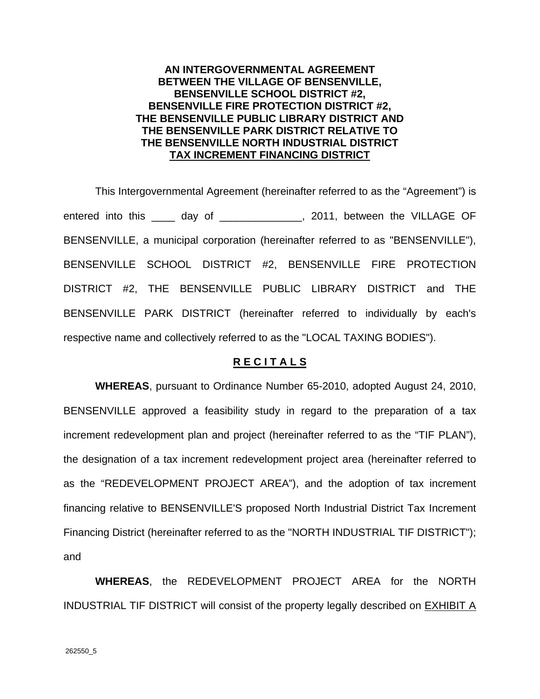#### **AN INTERGOVERNMENTAL AGREEMENT BETWEEN THE VILLAGE OF BENSENVILLE, BENSENVILLE SCHOOL DISTRICT #2, BENSENVILLE FIRE PROTECTION DISTRICT #2, THE BENSENVILLE PUBLIC LIBRARY DISTRICT AND THE BENSENVILLE PARK DISTRICT RELATIVE TO THE BENSENVILLE NORTH INDUSTRIAL DISTRICT TAX INCREMENT FINANCING DISTRICT**

This Intergovernmental Agreement (hereinafter referred to as the "Agreement") is entered into this \_\_\_\_ day of \_\_\_\_\_\_\_\_\_\_\_\_\_, 2011, between the VILLAGE OF BENSENVILLE, a municipal corporation (hereinafter referred to as "BENSENVILLE"), BENSENVILLE SCHOOL DISTRICT #2, BENSENVILLE FIRE PROTECTION DISTRICT #2, THE BENSENVILLE PUBLIC LIBRARY DISTRICT and THE BENSENVILLE PARK DISTRICT (hereinafter referred to individually by each's respective name and collectively referred to as the "LOCAL TAXING BODIES").

#### **R E C I T A L S**

**WHEREAS**, pursuant to Ordinance Number 65-2010, adopted August 24, 2010, BENSENVILLE approved a feasibility study in regard to the preparation of a tax increment redevelopment plan and project (hereinafter referred to as the "TIF PLAN"), the designation of a tax increment redevelopment project area (hereinafter referred to as the "REDEVELOPMENT PROJECT AREA"), and the adoption of tax increment financing relative to BENSENVILLE'S proposed North Industrial District Tax Increment Financing District (hereinafter referred to as the "NORTH INDUSTRIAL TIF DISTRICT"); and

**WHEREAS**, the REDEVELOPMENT PROJECT AREA for the NORTH INDUSTRIAL TIF DISTRICT will consist of the property legally described on EXHIBIT A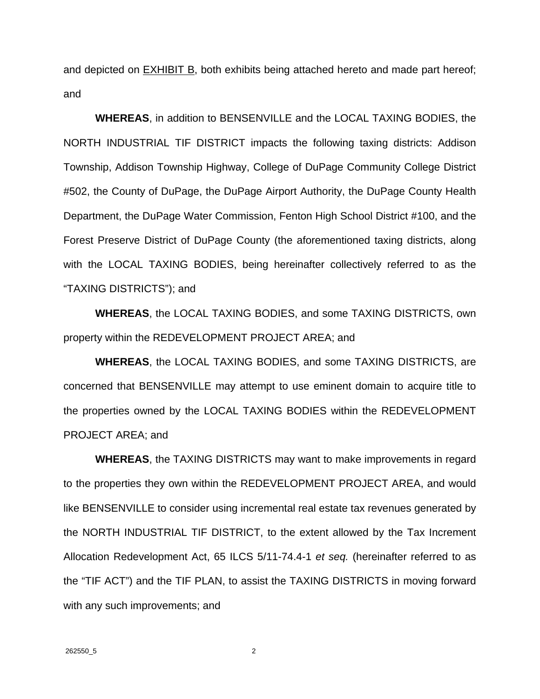and depicted on EXHIBIT B, both exhibits being attached hereto and made part hereof; and

**WHEREAS**, in addition to BENSENVILLE and the LOCAL TAXING BODIES, the NORTH INDUSTRIAL TIF DISTRICT impacts the following taxing districts: Addison Township, Addison Township Highway, College of DuPage Community College District #502, the County of DuPage, the DuPage Airport Authority, the DuPage County Health Department, the DuPage Water Commission, Fenton High School District #100, and the Forest Preserve District of DuPage County (the aforementioned taxing districts, along with the LOCAL TAXING BODIES, being hereinafter collectively referred to as the "TAXING DISTRICTS"); and

**WHEREAS**, the LOCAL TAXING BODIES, and some TAXING DISTRICTS, own property within the REDEVELOPMENT PROJECT AREA; and

**WHEREAS**, the LOCAL TAXING BODIES, and some TAXING DISTRICTS, are concerned that BENSENVILLE may attempt to use eminent domain to acquire title to the properties owned by the LOCAL TAXING BODIES within the REDEVELOPMENT PROJECT AREA; and

**WHEREAS**, the TAXING DISTRICTS may want to make improvements in regard to the properties they own within the REDEVELOPMENT PROJECT AREA, and would like BENSENVILLE to consider using incremental real estate tax revenues generated by the NORTH INDUSTRIAL TIF DISTRICT, to the extent allowed by the Tax Increment Allocation Redevelopment Act, 65 ILCS 5/11-74.4-1 *et seq.* (hereinafter referred to as the "TIF ACT") and the TIF PLAN, to assist the TAXING DISTRICTS in moving forward with any such improvements; and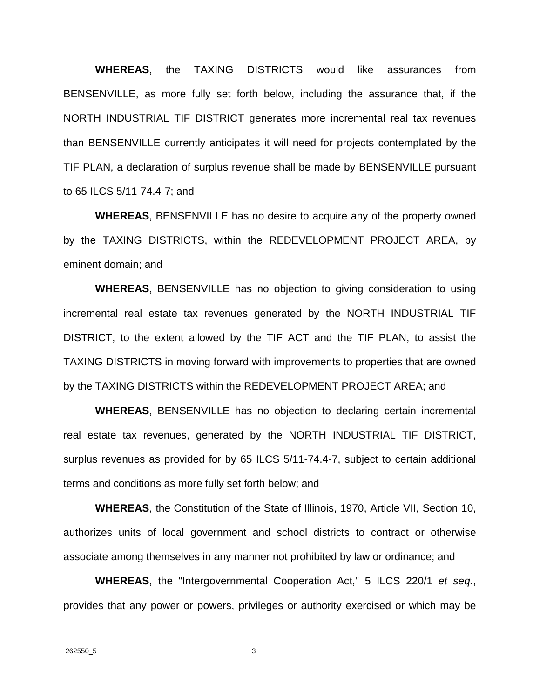**WHEREAS**, the TAXING DISTRICTS would like assurances from BENSENVILLE, as more fully set forth below, including the assurance that, if the NORTH INDUSTRIAL TIF DISTRICT generates more incremental real tax revenues than BENSENVILLE currently anticipates it will need for projects contemplated by the TIF PLAN, a declaration of surplus revenue shall be made by BENSENVILLE pursuant to 65 ILCS 5/11-74.4-7; and

**WHEREAS**, BENSENVILLE has no desire to acquire any of the property owned by the TAXING DISTRICTS, within the REDEVELOPMENT PROJECT AREA, by eminent domain; and

**WHEREAS**, BENSENVILLE has no objection to giving consideration to using incremental real estate tax revenues generated by the NORTH INDUSTRIAL TIF DISTRICT, to the extent allowed by the TIF ACT and the TIF PLAN, to assist the TAXING DISTRICTS in moving forward with improvements to properties that are owned by the TAXING DISTRICTS within the REDEVELOPMENT PROJECT AREA; and

**WHEREAS**, BENSENVILLE has no objection to declaring certain incremental real estate tax revenues, generated by the NORTH INDUSTRIAL TIF DISTRICT, surplus revenues as provided for by 65 ILCS 5/11-74.4-7, subject to certain additional terms and conditions as more fully set forth below; and

**WHEREAS**, the Constitution of the State of Illinois, 1970, Article VII, Section 10, authorizes units of local government and school districts to contract or otherwise associate among themselves in any manner not prohibited by law or ordinance; and

**WHEREAS**, the "Intergovernmental Cooperation Act," 5 ILCS 220/1 *et seq.*, provides that any power or powers, privileges or authority exercised or which may be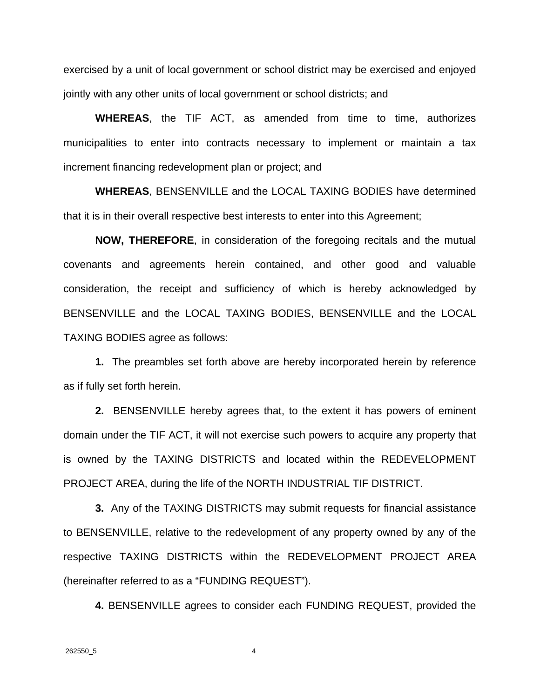exercised by a unit of local government or school district may be exercised and enjoyed jointly with any other units of local government or school districts; and

**WHEREAS**, the TIF ACT, as amended from time to time, authorizes municipalities to enter into contracts necessary to implement or maintain a tax increment financing redevelopment plan or project; and

**WHEREAS**, BENSENVILLE and the LOCAL TAXING BODIES have determined that it is in their overall respective best interests to enter into this Agreement;

**NOW, THEREFORE**, in consideration of the foregoing recitals and the mutual covenants and agreements herein contained, and other good and valuable consideration, the receipt and sufficiency of which is hereby acknowledged by BENSENVILLE and the LOCAL TAXING BODIES, BENSENVILLE and the LOCAL TAXING BODIES agree as follows:

**1.** The preambles set forth above are hereby incorporated herein by reference as if fully set forth herein.

**2.** BENSENVILLE hereby agrees that, to the extent it has powers of eminent domain under the TIF ACT, it will not exercise such powers to acquire any property that is owned by the TAXING DISTRICTS and located within the REDEVELOPMENT PROJECT AREA, during the life of the NORTH INDUSTRIAL TIF DISTRICT.

**3.** Any of the TAXING DISTRICTS may submit requests for financial assistance to BENSENVILLE, relative to the redevelopment of any property owned by any of the respective TAXING DISTRICTS within the REDEVELOPMENT PROJECT AREA (hereinafter referred to as a "FUNDING REQUEST").

**4.** BENSENVILLE agrees to consider each FUNDING REQUEST, provided the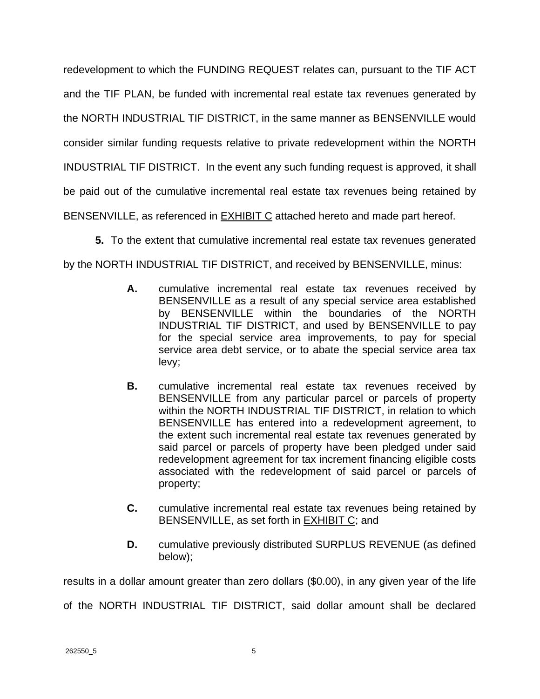redevelopment to which the FUNDING REQUEST relates can, pursuant to the TIF ACT and the TIF PLAN, be funded with incremental real estate tax revenues generated by the NORTH INDUSTRIAL TIF DISTRICT, in the same manner as BENSENVILLE would consider similar funding requests relative to private redevelopment within the NORTH INDUSTRIAL TIF DISTRICT. In the event any such funding request is approved, it shall be paid out of the cumulative incremental real estate tax revenues being retained by BENSENVILLE, as referenced in **EXHIBIT C** attached hereto and made part hereof.

**5.** To the extent that cumulative incremental real estate tax revenues generated by the NORTH INDUSTRIAL TIF DISTRICT, and received by BENSENVILLE, minus:

- **A.** cumulative incremental real estate tax revenues received by BENSENVILLE as a result of any special service area established by BENSENVILLE within the boundaries of the NORTH INDUSTRIAL TIF DISTRICT, and used by BENSENVILLE to pay for the special service area improvements, to pay for special service area debt service, or to abate the special service area tax levy;
- **B.** cumulative incremental real estate tax revenues received by BENSENVILLE from any particular parcel or parcels of property within the NORTH INDUSTRIAL TIF DISTRICT, in relation to which BENSENVILLE has entered into a redevelopment agreement, to the extent such incremental real estate tax revenues generated by said parcel or parcels of property have been pledged under said redevelopment agreement for tax increment financing eligible costs associated with the redevelopment of said parcel or parcels of property;
- **C.** cumulative incremental real estate tax revenues being retained by BENSENVILLE, as set forth in EXHIBIT C; and
- **D.** cumulative previously distributed SURPLUS REVENUE (as defined below);

results in a dollar amount greater than zero dollars (\$0.00), in any given year of the life of the NORTH INDUSTRIAL TIF DISTRICT, said dollar amount shall be declared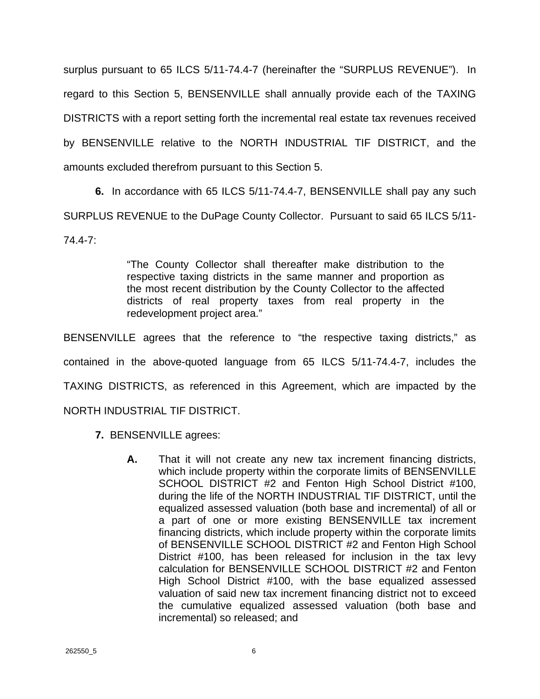surplus pursuant to 65 ILCS 5/11-74.4-7 (hereinafter the "SURPLUS REVENUE"). In regard to this Section 5, BENSENVILLE shall annually provide each of the TAXING DISTRICTS with a report setting forth the incremental real estate tax revenues received by BENSENVILLE relative to the NORTH INDUSTRIAL TIF DISTRICT, and the amounts excluded therefrom pursuant to this Section 5.

**6.** In accordance with 65 ILCS 5/11-74.4-7, BENSENVILLE shall pay any such SURPLUS REVENUE to the DuPage County Collector. Pursuant to said 65 ILCS 5/11- 74.4-7:

> "The County Collector shall thereafter make distribution to the respective taxing districts in the same manner and proportion as the most recent distribution by the County Collector to the affected districts of real property taxes from real property in the redevelopment project area."

BENSENVILLE agrees that the reference to "the respective taxing districts," as contained in the above-quoted language from 65 ILCS 5/11-74.4-7, includes the TAXING DISTRICTS, as referenced in this Agreement, which are impacted by the NORTH INDUSTRIAL TIF DISTRICT.

- **7.** BENSENVILLE agrees:
	- **A.** That it will not create any new tax increment financing districts, which include property within the corporate limits of BENSENVILLE SCHOOL DISTRICT #2 and Fenton High School District #100, during the life of the NORTH INDUSTRIAL TIF DISTRICT, until the equalized assessed valuation (both base and incremental) of all or a part of one or more existing BENSENVILLE tax increment financing districts, which include property within the corporate limits of BENSENVILLE SCHOOL DISTRICT #2 and Fenton High School District #100, has been released for inclusion in the tax levy calculation for BENSENVILLE SCHOOL DISTRICT #2 and Fenton High School District #100, with the base equalized assessed valuation of said new tax increment financing district not to exceed the cumulative equalized assessed valuation (both base and incremental) so released; and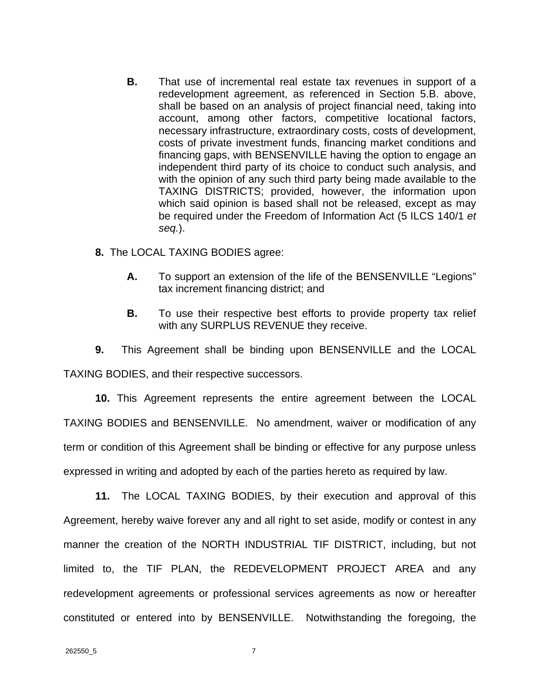- **B.** That use of incremental real estate tax revenues in support of a redevelopment agreement, as referenced in Section 5.B. above, shall be based on an analysis of project financial need, taking into account, among other factors, competitive locational factors, necessary infrastructure, extraordinary costs, costs of development, costs of private investment funds, financing market conditions and financing gaps, with BENSENVILLE having the option to engage an independent third party of its choice to conduct such analysis, and with the opinion of any such third party being made available to the TAXING DISTRICTS; provided, however, the information upon which said opinion is based shall not be released, except as may be required under the Freedom of Information Act (5 ILCS 140/1 *et seq.*).
- **8.** The LOCAL TAXING BODIES agree:
	- **A.** To support an extension of the life of the BENSENVILLE "Legions" tax increment financing district; and
	- **B.** To use their respective best efforts to provide property tax relief with any SURPLUS REVENUE they receive.

**9.** This Agreement shall be binding upon BENSENVILLE and the LOCAL TAXING BODIES, and their respective successors.

**10.** This Agreement represents the entire agreement between the LOCAL TAXING BODIES and BENSENVILLE. No amendment, waiver or modification of any term or condition of this Agreement shall be binding or effective for any purpose unless expressed in writing and adopted by each of the parties hereto as required by law.

**11.** The LOCAL TAXING BODIES, by their execution and approval of this Agreement, hereby waive forever any and all right to set aside, modify or contest in any manner the creation of the NORTH INDUSTRIAL TIF DISTRICT, including, but not limited to, the TIF PLAN, the REDEVELOPMENT PROJECT AREA and any redevelopment agreements or professional services agreements as now or hereafter constituted or entered into by BENSENVILLE. Notwithstanding the foregoing, the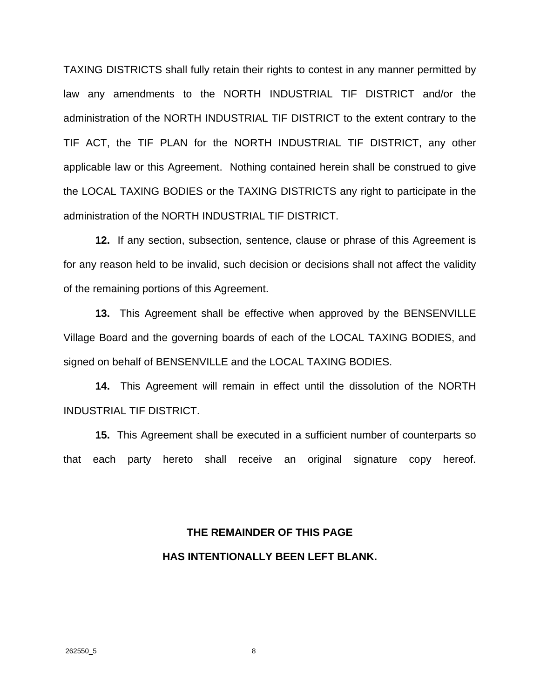TAXING DISTRICTS shall fully retain their rights to contest in any manner permitted by law any amendments to the NORTH INDUSTRIAL TIF DISTRICT and/or the administration of the NORTH INDUSTRIAL TIF DISTRICT to the extent contrary to the TIF ACT, the TIF PLAN for the NORTH INDUSTRIAL TIF DISTRICT, any other applicable law or this Agreement. Nothing contained herein shall be construed to give the LOCAL TAXING BODIES or the TAXING DISTRICTS any right to participate in the administration of the NORTH INDUSTRIAL TIF DISTRICT.

**12.** If any section, subsection, sentence, clause or phrase of this Agreement is for any reason held to be invalid, such decision or decisions shall not affect the validity of the remaining portions of this Agreement.

**13.** This Agreement shall be effective when approved by the BENSENVILLE Village Board and the governing boards of each of the LOCAL TAXING BODIES, and signed on behalf of BENSENVILLE and the LOCAL TAXING BODIES.

**14.** This Agreement will remain in effect until the dissolution of the NORTH INDUSTRIAL TIF DISTRICT.

**15.** This Agreement shall be executed in a sufficient number of counterparts so that each party hereto shall receive an original signature copy hereof.

# **THE REMAINDER OF THIS PAGE HAS INTENTIONALLY BEEN LEFT BLANK.**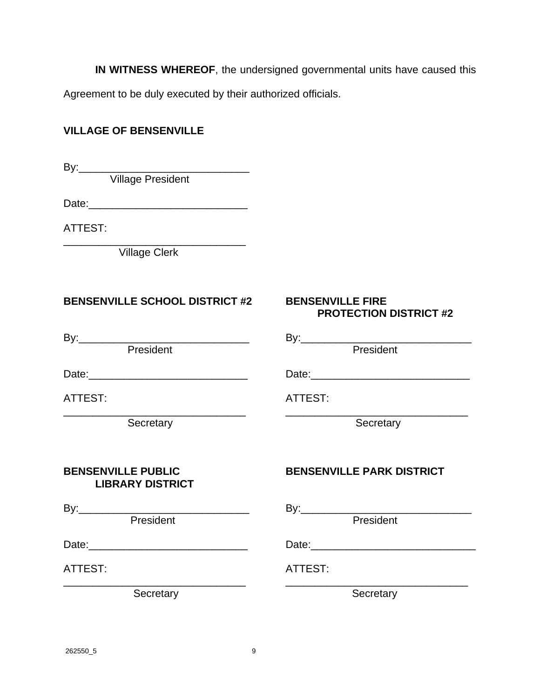**IN WITNESS WHEREOF**, the undersigned governmental units have caused this Agreement to be duly executed by their authorized officials.

#### **VILLAGE OF BENSENVILLE**

By:\_\_\_\_\_\_\_\_\_\_\_\_\_\_\_\_\_\_\_\_\_\_\_\_\_\_\_\_\_

Village President

Date:\_\_\_\_\_\_\_\_\_\_\_\_\_\_\_\_\_\_\_\_\_\_\_\_\_\_\_

ATTEST:

\_\_\_\_\_\_\_\_\_\_\_\_\_\_\_\_\_\_\_\_\_\_\_\_\_\_\_\_\_\_\_ Village Clerk

### **BENSENVILLE SCHOOL DISTRICT #2 BENSENVILLE FIRE**

# **PROTECTION DISTRICT #2**

By:\_\_\_\_\_\_\_\_\_\_\_\_\_\_\_\_\_\_\_\_\_\_\_\_\_\_\_\_\_ By:\_\_\_\_\_\_\_\_\_\_\_\_\_\_\_\_\_\_\_\_\_\_\_\_\_\_\_\_\_

President **President President** 

Date:\_\_\_\_\_\_\_\_\_\_\_\_\_\_\_\_\_\_\_\_\_\_\_\_\_\_\_ Date:\_\_\_\_\_\_\_\_\_\_\_\_\_\_\_\_\_\_\_\_\_\_\_\_\_\_\_

ATTEST: ATTEST:

\_\_\_\_\_\_\_\_\_\_\_\_\_\_\_\_\_\_\_\_\_\_\_\_\_\_\_\_\_\_\_ \_\_\_\_\_\_\_\_\_\_\_\_\_\_\_\_\_\_\_\_\_\_\_\_\_\_\_\_\_\_\_ Secretary Secretary Secretary Secretary

# **LIBRARY DISTRICT**

 $P$ resident

Date:\_\_\_\_\_\_\_\_\_\_\_\_\_\_\_\_\_\_\_\_\_\_\_\_\_\_\_ Date:\_\_\_\_\_\_\_\_\_\_\_\_\_\_\_\_\_\_\_\_\_\_\_\_\_\_\_\_

ATTEST: ATTEST:

\_\_\_\_\_\_\_\_\_\_\_\_\_\_\_\_\_\_\_\_\_\_\_\_\_\_\_\_\_\_\_ \_\_\_\_\_\_\_\_\_\_\_\_\_\_\_\_\_\_\_\_\_\_\_\_\_\_\_\_\_\_\_

**BENSENVILLE PUBLIC BENSENVILLE PARK DISTRICT** 

By:\_\_\_\_\_\_\_\_\_\_\_\_\_\_\_\_\_\_\_\_\_\_\_\_\_\_\_\_\_ By:\_\_\_\_\_\_\_\_\_\_\_\_\_\_\_\_\_\_\_\_\_\_\_\_\_\_\_\_\_

Secretary Secretary Secretary Secretary Secretary Secretary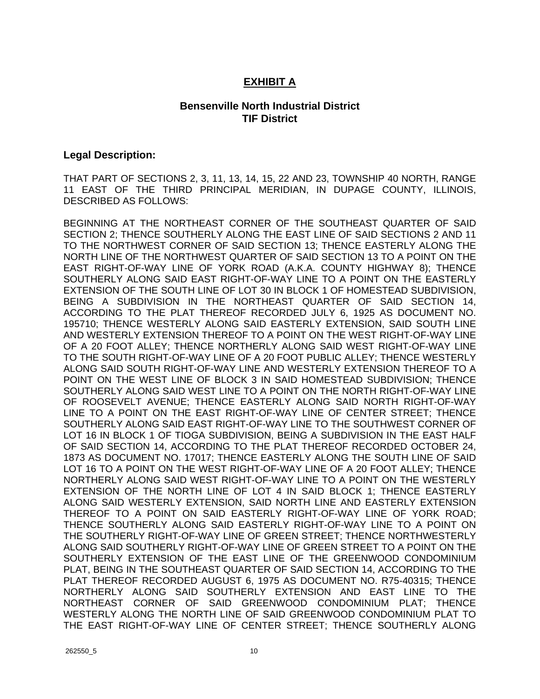#### **EXHIBIT A**

#### **Bensenville North Industrial District TIF District**

#### **Legal Description:**

THAT PART OF SECTIONS 2, 3, 11, 13, 14, 15, 22 AND 23, TOWNSHIP 40 NORTH, RANGE 11 EAST OF THE THIRD PRINCIPAL MERIDIAN, IN DUPAGE COUNTY, ILLINOIS, DESCRIBED AS FOLLOWS:

BEGINNING AT THE NORTHEAST CORNER OF THE SOUTHEAST QUARTER OF SAID SECTION 2; THENCE SOUTHERLY ALONG THE EAST LINE OF SAID SECTIONS 2 AND 11 TO THE NORTHWEST CORNER OF SAID SECTION 13; THENCE EASTERLY ALONG THE NORTH LINE OF THE NORTHWEST QUARTER OF SAID SECTION 13 TO A POINT ON THE EAST RIGHT-OF-WAY LINE OF YORK ROAD (A.K.A. COUNTY HIGHWAY 8); THENCE SOUTHERLY ALONG SAID EAST RIGHT-OF-WAY LINE TO A POINT ON THE EASTERLY EXTENSION OF THE SOUTH LINE OF LOT 30 IN BLOCK 1 OF HOMESTEAD SUBDIVISION, BEING A SUBDIVISION IN THE NORTHEAST QUARTER OF SAID SECTION 14, ACCORDING TO THE PLAT THEREOF RECORDED JULY 6, 1925 AS DOCUMENT NO. 195710; THENCE WESTERLY ALONG SAID EASTERLY EXTENSION, SAID SOUTH LINE AND WESTERLY EXTENSION THEREOF TO A POINT ON THE WEST RIGHT-OF-WAY LINE OF A 20 FOOT ALLEY; THENCE NORTHERLY ALONG SAID WEST RIGHT-OF-WAY LINE TO THE SOUTH RIGHT-OF-WAY LINE OF A 20 FOOT PUBLIC ALLEY; THENCE WESTERLY ALONG SAID SOUTH RIGHT-OF-WAY LINE AND WESTERLY EXTENSION THEREOF TO A POINT ON THE WEST LINE OF BLOCK 3 IN SAID HOMESTEAD SUBDIVISION; THENCE SOUTHERLY ALONG SAID WEST LINE TO A POINT ON THE NORTH RIGHT-OF-WAY LINE OF ROOSEVELT AVENUE; THENCE EASTERLY ALONG SAID NORTH RIGHT-OF-WAY LINE TO A POINT ON THE EAST RIGHT-OF-WAY LINE OF CENTER STREET; THENCE SOUTHERLY ALONG SAID EAST RIGHT-OF-WAY LINE TO THE SOUTHWEST CORNER OF LOT 16 IN BLOCK 1 OF TIOGA SUBDIVISION, BEING A SUBDIVISION IN THE EAST HALF OF SAID SECTION 14, ACCORDING TO THE PLAT THEREOF RECORDED OCTOBER 24, 1873 AS DOCUMENT NO. 17017; THENCE EASTERLY ALONG THE SOUTH LINE OF SAID LOT 16 TO A POINT ON THE WEST RIGHT-OF-WAY LINE OF A 20 FOOT ALLEY; THENCE NORTHERLY ALONG SAID WEST RIGHT-OF-WAY LINE TO A POINT ON THE WESTERLY EXTENSION OF THE NORTH LINE OF LOT 4 IN SAID BLOCK 1; THENCE EASTERLY ALONG SAID WESTERLY EXTENSION, SAID NORTH LINE AND EASTERLY EXTENSION THEREOF TO A POINT ON SAID EASTERLY RIGHT-OF-WAY LINE OF YORK ROAD; THENCE SOUTHERLY ALONG SAID EASTERLY RIGHT-OF-WAY LINE TO A POINT ON THE SOUTHERLY RIGHT-OF-WAY LINE OF GREEN STREET; THENCE NORTHWESTERLY ALONG SAID SOUTHERLY RIGHT-OF-WAY LINE OF GREEN STREET TO A POINT ON THE SOUTHERLY EXTENSION OF THE EAST LINE OF THE GREENWOOD CONDOMINIUM PLAT, BEING IN THE SOUTHEAST QUARTER OF SAID SECTION 14, ACCORDING TO THE PLAT THEREOF RECORDED AUGUST 6, 1975 AS DOCUMENT NO. R75-40315; THENCE NORTHERLY ALONG SAID SOUTHERLY EXTENSION AND EAST LINE TO THE NORTHEAST CORNER OF SAID GREENWOOD CONDOMINIUM PLAT; THENCE WESTERLY ALONG THE NORTH LINE OF SAID GREENWOOD CONDOMINIUM PLAT TO THE EAST RIGHT-OF-WAY LINE OF CENTER STREET; THENCE SOUTHERLY ALONG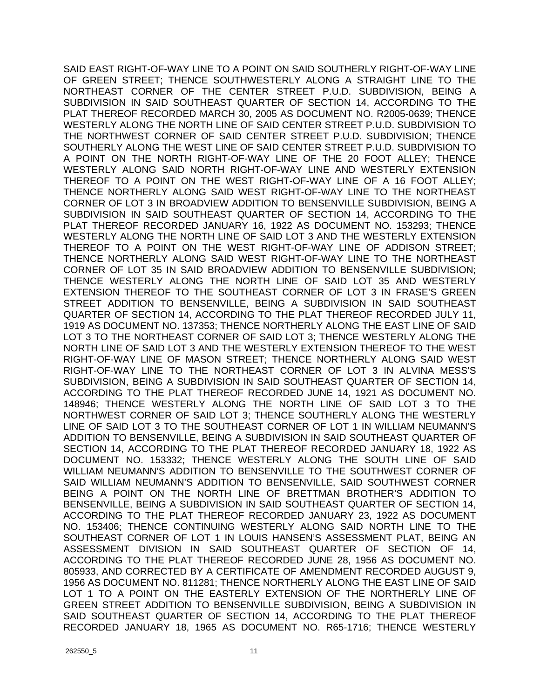SAID EAST RIGHT-OF-WAY LINE TO A POINT ON SAID SOUTHERLY RIGHT-OF-WAY LINE OF GREEN STREET; THENCE SOUTHWESTERLY ALONG A STRAIGHT LINE TO THE NORTHEAST CORNER OF THE CENTER STREET P.U.D. SUBDIVISION, BEING A SUBDIVISION IN SAID SOUTHEAST QUARTER OF SECTION 14, ACCORDING TO THE PLAT THEREOF RECORDED MARCH 30, 2005 AS DOCUMENT NO. R2005-0639; THENCE WESTERLY ALONG THE NORTH LINE OF SAID CENTER STREET P.U.D. SUBDIVISION TO THE NORTHWEST CORNER OF SAID CENTER STREET P.U.D. SUBDIVISION; THENCE SOUTHERLY ALONG THE WEST LINE OF SAID CENTER STREET P.U.D. SUBDIVISION TO A POINT ON THE NORTH RIGHT-OF-WAY LINE OF THE 20 FOOT ALLEY; THENCE WESTERLY ALONG SAID NORTH RIGHT-OF-WAY LINE AND WESTERLY EXTENSION THEREOF TO A POINT ON THE WEST RIGHT-OF-WAY LINE OF A 16 FOOT ALLEY; THENCE NORTHERLY ALONG SAID WEST RIGHT-OF-WAY LINE TO THE NORTHEAST CORNER OF LOT 3 IN BROADVIEW ADDITION TO BENSENVILLE SUBDIVISION, BEING A SUBDIVISION IN SAID SOUTHEAST QUARTER OF SECTION 14, ACCORDING TO THE PLAT THEREOF RECORDED JANUARY 16, 1922 AS DOCUMENT NO. 153293; THENCE WESTERLY ALONG THE NORTH LINE OF SAID LOT 3 AND THE WESTERLY EXTENSION THEREOF TO A POINT ON THE WEST RIGHT-OF-WAY LINE OF ADDISON STREET; THENCE NORTHERLY ALONG SAID WEST RIGHT-OF-WAY LINE TO THE NORTHEAST CORNER OF LOT 35 IN SAID BROADVIEW ADDITION TO BENSENVILLE SUBDIVISION; THENCE WESTERLY ALONG THE NORTH LINE OF SAID LOT 35 AND WESTERLY EXTENSION THEREOF TO THE SOUTHEAST CORNER OF LOT 3 IN FRASE'S GREEN STREET ADDITION TO BENSENVILLE, BEING A SUBDIVISION IN SAID SOUTHEAST QUARTER OF SECTION 14, ACCORDING TO THE PLAT THEREOF RECORDED JULY 11, 1919 AS DOCUMENT NO. 137353; THENCE NORTHERLY ALONG THE EAST LINE OF SAID LOT 3 TO THE NORTHEAST CORNER OF SAID LOT 3; THENCE WESTERLY ALONG THE NORTH LINE OF SAID LOT 3 AND THE WESTERLY EXTENSION THEREOF TO THE WEST RIGHT-OF-WAY LINE OF MASON STREET; THENCE NORTHERLY ALONG SAID WEST RIGHT-OF-WAY LINE TO THE NORTHEAST CORNER OF LOT 3 IN ALVINA MESS'S SUBDIVISION, BEING A SUBDIVISION IN SAID SOUTHEAST QUARTER OF SECTION 14, ACCORDING TO THE PLAT THEREOF RECORDED JUNE 14, 1921 AS DOCUMENT NO. 148946; THENCE WESTERLY ALONG THE NORTH LINE OF SAID LOT 3 TO THE NORTHWEST CORNER OF SAID LOT 3; THENCE SOUTHERLY ALONG THE WESTERLY LINE OF SAID LOT 3 TO THE SOUTHEAST CORNER OF LOT 1 IN WILLIAM NEUMANN'S ADDITION TO BENSENVILLE, BEING A SUBDIVISION IN SAID SOUTHEAST QUARTER OF SECTION 14, ACCORDING TO THE PLAT THEREOF RECORDED JANUARY 18, 1922 AS DOCUMENT NO. 153332; THENCE WESTERLY ALONG THE SOUTH LINE OF SAID WILLIAM NEUMANN'S ADDITION TO BENSENVILLE TO THE SOUTHWEST CORNER OF SAID WILLIAM NEUMANN'S ADDITION TO BENSENVILLE, SAID SOUTHWEST CORNER BEING A POINT ON THE NORTH LINE OF BRETTMAN BROTHER'S ADDITION TO BENSENVILLE, BEING A SUBDIVISION IN SAID SOUTHEAST QUARTER OF SECTION 14, ACCORDING TO THE PLAT THEREOF RECORDED JANUARY 23, 1922 AS DOCUMENT NO. 153406; THENCE CONTINUING WESTERLY ALONG SAID NORTH LINE TO THE SOUTHEAST CORNER OF LOT 1 IN LOUIS HANSEN'S ASSESSMENT PLAT, BEING AN ASSESSMENT DIVISION IN SAID SOUTHEAST QUARTER OF SECTION OF 14, ACCORDING TO THE PLAT THEREOF RECORDED JUNE 28, 1956 AS DOCUMENT NO. 805933, AND CORRECTED BY A CERTIFICATE OF AMENDMENT RECORDED AUGUST 9, 1956 AS DOCUMENT NO. 811281; THENCE NORTHERLY ALONG THE EAST LINE OF SAID LOT 1 TO A POINT ON THE EASTERLY EXTENSION OF THE NORTHERLY LINE OF GREEN STREET ADDITION TO BENSENVILLE SUBDIVISION, BEING A SUBDIVISION IN SAID SOUTHEAST QUARTER OF SECTION 14, ACCORDING TO THE PLAT THEREOF RECORDED JANUARY 18, 1965 AS DOCUMENT NO. R65-1716; THENCE WESTERLY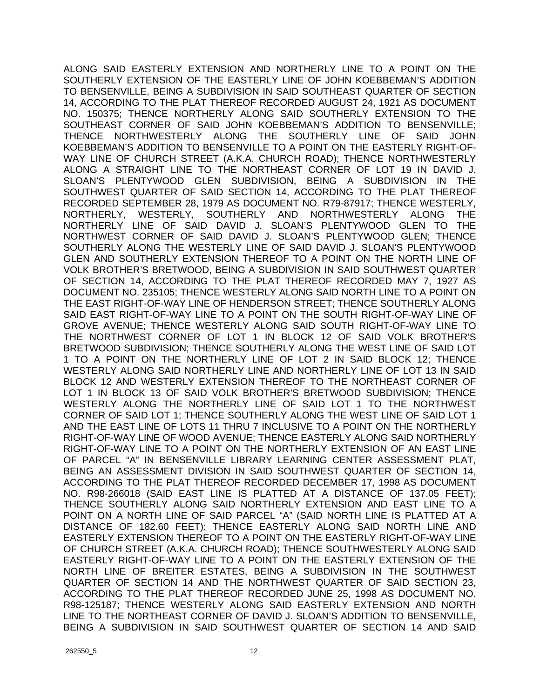ALONG SAID EASTERLY EXTENSION AND NORTHERLY LINE TO A POINT ON THE SOUTHERLY EXTENSION OF THE EASTERLY LINE OF JOHN KOEBBEMAN'S ADDITION TO BENSENVILLE, BEING A SUBDIVISION IN SAID SOUTHEAST QUARTER OF SECTION 14, ACCORDING TO THE PLAT THEREOF RECORDED AUGUST 24, 1921 AS DOCUMENT NO. 150375; THENCE NORTHERLY ALONG SAID SOUTHERLY EXTENSION TO THE SOUTHEAST CORNER OF SAID JOHN KOEBBEMAN'S ADDITION TO BENSENVILLE; THENCE NORTHWESTERLY ALONG THE SOUTHERLY LINE OF SAID JOHN KOEBBEMAN'S ADDITION TO BENSENVILLE TO A POINT ON THE EASTERLY RIGHT-OF-WAY LINE OF CHURCH STREET (A.K.A. CHURCH ROAD); THENCE NORTHWESTERLY ALONG A STRAIGHT LINE TO THE NORTHEAST CORNER OF LOT 19 IN DAVID J. SLOAN'S PLENTYWOOD GLEN SUBDIVISION, BEING A SUBDIVISION IN THE SOUTHWEST QUARTER OF SAID SECTION 14, ACCORDING TO THE PLAT THEREOF RECORDED SEPTEMBER 28, 1979 AS DOCUMENT NO. R79-87917; THENCE WESTERLY, NORTHERLY, WESTERLY, SOUTHERLY AND NORTHWESTERLY ALONG THE NORTHERLY LINE OF SAID DAVID J. SLOAN'S PLENTYWOOD GLEN TO THE NORTHWEST CORNER OF SAID DAVID J. SLOAN'S PLENTYWOOD GLEN; THENCE SOUTHERLY ALONG THE WESTERLY LINE OF SAID DAVID J. SLOAN'S PLENTYWOOD GLEN AND SOUTHERLY EXTENSION THEREOF TO A POINT ON THE NORTH LINE OF VOLK BROTHER'S BRETWOOD, BEING A SUBDIVISION IN SAID SOUTHWEST QUARTER OF SECTION 14, ACCORDING TO THE PLAT THEREOF RECORDED MAY 7, 1927 AS DOCUMENT NO. 235105; THENCE WESTERLY ALONG SAID NORTH LINE TO A POINT ON THE EAST RIGHT-OF-WAY LINE OF HENDERSON STREET; THENCE SOUTHERLY ALONG SAID EAST RIGHT-OF-WAY LINE TO A POINT ON THE SOUTH RIGHT-OF-WAY LINE OF GROVE AVENUE; THENCE WESTERLY ALONG SAID SOUTH RIGHT-OF-WAY LINE TO THE NORTHWEST CORNER OF LOT 1 IN BLOCK 12 OF SAID VOLK BROTHER'S BRETWOOD SUBDIVISION; THENCE SOUTHERLY ALONG THE WEST LINE OF SAID LOT 1 TO A POINT ON THE NORTHERLY LINE OF LOT 2 IN SAID BLOCK 12; THENCE WESTERLY ALONG SAID NORTHERLY LINE AND NORTHERLY LINE OF LOT 13 IN SAID BLOCK 12 AND WESTERLY EXTENSION THEREOF TO THE NORTHEAST CORNER OF LOT 1 IN BLOCK 13 OF SAID VOLK BROTHER'S BRETWOOD SUBDIVISION; THENCE WESTERLY ALONG THE NORTHERLY LINE OF SAID LOT 1 TO THE NORTHWEST CORNER OF SAID LOT 1; THENCE SOUTHERLY ALONG THE WEST LINE OF SAID LOT 1 AND THE EAST LINE OF LOTS 11 THRU 7 INCLUSIVE TO A POINT ON THE NORTHERLY RIGHT-OF-WAY LINE OF WOOD AVENUE; THENCE EASTERLY ALONG SAID NORTHERLY RIGHT-OF-WAY LINE TO A POINT ON THE NORTHERLY EXTENSION OF AN EAST LINE OF PARCEL "A" IN BENSENVILLE LIBRARY LEARNING CENTER ASSESSMENT PLAT, BEING AN ASSESSMENT DIVISION IN SAID SOUTHWEST QUARTER OF SECTION 14, ACCORDING TO THE PLAT THEREOF RECORDED DECEMBER 17, 1998 AS DOCUMENT NO. R98-266018 (SAID EAST LINE IS PLATTED AT A DISTANCE OF 137.05 FEET); THENCE SOUTHERLY ALONG SAID NORTHERLY EXTENSION AND EAST LINE TO A POINT ON A NORTH LINE OF SAID PARCEL "A" (SAID NORTH LINE IS PLATTED AT A DISTANCE OF 182.60 FEET); THENCE EASTERLY ALONG SAID NORTH LINE AND EASTERLY EXTENSION THEREOF TO A POINT ON THE EASTERLY RIGHT-OF-WAY LINE OF CHURCH STREET (A.K.A. CHURCH ROAD); THENCE SOUTHWESTERLY ALONG SAID EASTERLY RIGHT-OF-WAY LINE TO A POINT ON THE EASTERLY EXTENSION OF THE NORTH LINE OF BREITER ESTATES, BEING A SUBDIVISION IN THE SOUTHWEST QUARTER OF SECTION 14 AND THE NORTHWEST QUARTER OF SAID SECTION 23, ACCORDING TO THE PLAT THEREOF RECORDED JUNE 25, 1998 AS DOCUMENT NO. R98-125187; THENCE WESTERLY ALONG SAID EASTERLY EXTENSION AND NORTH LINE TO THE NORTHEAST CORNER OF DAVID J. SLOAN'S ADDITION TO BENSENVILLE, BEING A SUBDIVISION IN SAID SOUTHWEST QUARTER OF SECTION 14 AND SAID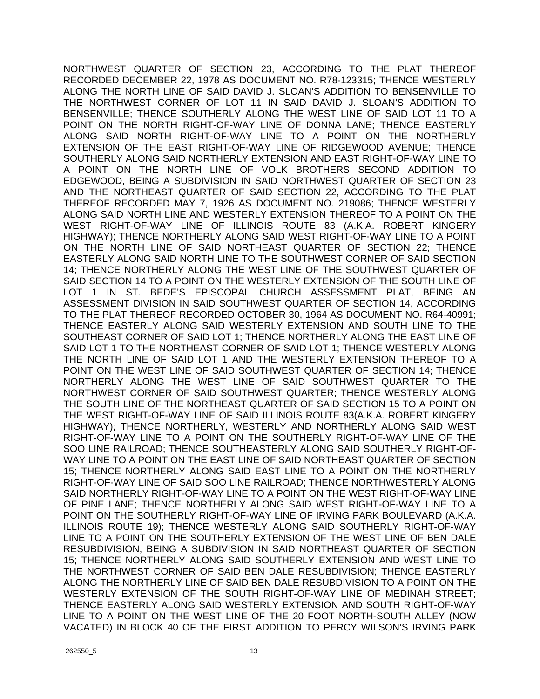NORTHWEST QUARTER OF SECTION 23, ACCORDING TO THE PLAT THEREOF RECORDED DECEMBER 22, 1978 AS DOCUMENT NO. R78-123315; THENCE WESTERLY ALONG THE NORTH LINE OF SAID DAVID J. SLOAN'S ADDITION TO BENSENVILLE TO THE NORTHWEST CORNER OF LOT 11 IN SAID DAVID J. SLOAN'S ADDITION TO BENSENVILLE; THENCE SOUTHERLY ALONG THE WEST LINE OF SAID LOT 11 TO A POINT ON THE NORTH RIGHT-OF-WAY LINE OF DONNA LANE; THENCE EASTERLY ALONG SAID NORTH RIGHT-OF-WAY LINE TO A POINT ON THE NORTHERLY EXTENSION OF THE EAST RIGHT-OF-WAY LINE OF RIDGEWOOD AVENUE; THENCE SOUTHERLY ALONG SAID NORTHERLY EXTENSION AND EAST RIGHT-OF-WAY LINE TO A POINT ON THE NORTH LINE OF VOLK BROTHERS SECOND ADDITION TO EDGEWOOD, BEING A SUBDIVISION IN SAID NORTHWEST QUARTER OF SECTION 23 AND THE NORTHEAST QUARTER OF SAID SECTION 22, ACCORDING TO THE PLAT THEREOF RECORDED MAY 7, 1926 AS DOCUMENT NO. 219086; THENCE WESTERLY ALONG SAID NORTH LINE AND WESTERLY EXTENSION THEREOF TO A POINT ON THE WEST RIGHT-OF-WAY LINE OF ILLINOIS ROUTE 83 (A.K.A. ROBERT KINGERY HIGHWAY); THENCE NORTHERLY ALONG SAID WEST RIGHT-OF-WAY LINE TO A POINT ON THE NORTH LINE OF SAID NORTHEAST QUARTER OF SECTION 22; THENCE EASTERLY ALONG SAID NORTH LINE TO THE SOUTHWEST CORNER OF SAID SECTION 14; THENCE NORTHERLY ALONG THE WEST LINE OF THE SOUTHWEST QUARTER OF SAID SECTION 14 TO A POINT ON THE WESTERLY EXTENSION OF THE SOUTH LINE OF LOT 1 IN ST. BEDE'S EPISCOPAL CHURCH ASSESSMENT PLAT, BEING AN ASSESSMENT DIVISION IN SAID SOUTHWEST QUARTER OF SECTION 14, ACCORDING TO THE PLAT THEREOF RECORDED OCTOBER 30, 1964 AS DOCUMENT NO. R64-40991; THENCE EASTERLY ALONG SAID WESTERLY EXTENSION AND SOUTH LINE TO THE SOUTHEAST CORNER OF SAID LOT 1; THENCE NORTHERLY ALONG THE EAST LINE OF SAID LOT 1 TO THE NORTHEAST CORNER OF SAID LOT 1; THENCE WESTERLY ALONG THE NORTH LINE OF SAID LOT 1 AND THE WESTERLY EXTENSION THEREOF TO A POINT ON THE WEST LINE OF SAID SOUTHWEST QUARTER OF SECTION 14; THENCE NORTHERLY ALONG THE WEST LINE OF SAID SOUTHWEST QUARTER TO THE NORTHWEST CORNER OF SAID SOUTHWEST QUARTER; THENCE WESTERLY ALONG THE SOUTH LINE OF THE NORTHEAST QUARTER OF SAID SECTION 15 TO A POINT ON THE WEST RIGHT-OF-WAY LINE OF SAID ILLINOIS ROUTE 83(A.K.A. ROBERT KINGERY HIGHWAY); THENCE NORTHERLY, WESTERLY AND NORTHERLY ALONG SAID WEST RIGHT-OF-WAY LINE TO A POINT ON THE SOUTHERLY RIGHT-OF-WAY LINE OF THE SOO LINE RAILROAD; THENCE SOUTHEASTERLY ALONG SAID SOUTHERLY RIGHT-OF-WAY LINE TO A POINT ON THE EAST LINE OF SAID NORTHEAST QUARTER OF SECTION 15; THENCE NORTHERLY ALONG SAID EAST LINE TO A POINT ON THE NORTHERLY RIGHT-OF-WAY LINE OF SAID SOO LINE RAILROAD; THENCE NORTHWESTERLY ALONG SAID NORTHERLY RIGHT-OF-WAY LINE TO A POINT ON THE WEST RIGHT-OF-WAY LINE OF PINE LANE; THENCE NORTHERLY ALONG SAID WEST RIGHT-OF-WAY LINE TO A POINT ON THE SOUTHERLY RIGHT-OF-WAY LINE OF IRVING PARK BOULEVARD (A.K.A. ILLINOIS ROUTE 19); THENCE WESTERLY ALONG SAID SOUTHERLY RIGHT-OF-WAY LINE TO A POINT ON THE SOUTHERLY EXTENSION OF THE WEST LINE OF BEN DALE RESUBDIVISION, BEING A SUBDIVISION IN SAID NORTHEAST QUARTER OF SECTION 15; THENCE NORTHERLY ALONG SAID SOUTHERLY EXTENSION AND WEST LINE TO THE NORTHWEST CORNER OF SAID BEN DALE RESUBDIVISION; THENCE EASTERLY ALONG THE NORTHERLY LINE OF SAID BEN DALE RESUBDIVISION TO A POINT ON THE WESTERLY EXTENSION OF THE SOUTH RIGHT-OF-WAY LINE OF MEDINAH STREET; THENCE EASTERLY ALONG SAID WESTERLY EXTENSION AND SOUTH RIGHT-OF-WAY LINE TO A POINT ON THE WEST LINE OF THE 20 FOOT NORTH-SOUTH ALLEY (NOW VACATED) IN BLOCK 40 OF THE FIRST ADDITION TO PERCY WILSON'S IRVING PARK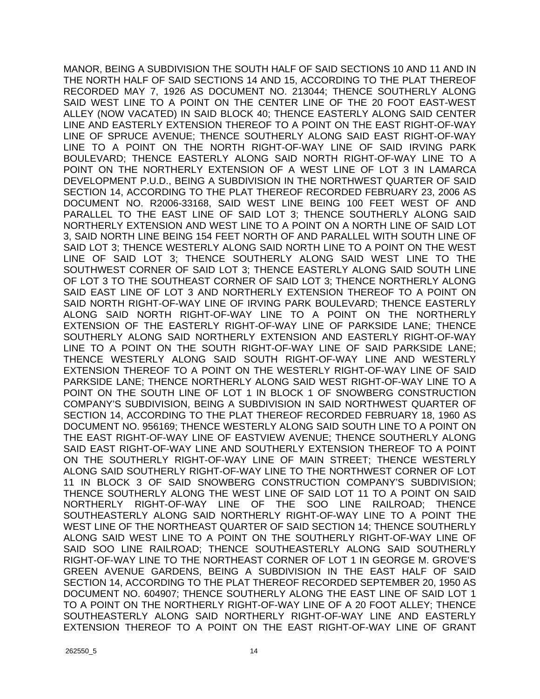MANOR, BEING A SUBDIVISION THE SOUTH HALF OF SAID SECTIONS 10 AND 11 AND IN THE NORTH HALF OF SAID SECTIONS 14 AND 15, ACCORDING TO THE PLAT THEREOF RECORDED MAY 7, 1926 AS DOCUMENT NO. 213044; THENCE SOUTHERLY ALONG SAID WEST LINE TO A POINT ON THE CENTER LINE OF THE 20 FOOT EAST-WEST ALLEY (NOW VACATED) IN SAID BLOCK 40; THENCE EASTERLY ALONG SAID CENTER LINE AND EASTERLY EXTENSION THEREOF TO A POINT ON THE EAST RIGHT-OF-WAY LINE OF SPRUCE AVENUE; THENCE SOUTHERLY ALONG SAID EAST RIGHT-OF-WAY LINE TO A POINT ON THE NORTH RIGHT-OF-WAY LINE OF SAID IRVING PARK BOULEVARD; THENCE EASTERLY ALONG SAID NORTH RIGHT-OF-WAY LINE TO A POINT ON THE NORTHERLY EXTENSION OF A WEST LINE OF LOT 3 IN LAMARCA DEVELOPMENT P.U.D., BEING A SUBDIVISION IN THE NORTHWEST QUARTER OF SAID SECTION 14, ACCORDING TO THE PLAT THEREOF RECORDED FEBRUARY 23, 2006 AS DOCUMENT NO. R2006-33168, SAID WEST LINE BEING 100 FEET WEST OF AND PARALLEL TO THE EAST LINE OF SAID LOT 3; THENCE SOUTHERLY ALONG SAID NORTHERLY EXTENSION AND WEST LINE TO A POINT ON A NORTH LINE OF SAID LOT 3, SAID NORTH LINE BEING 154 FEET NORTH OF AND PARALLEL WITH SOUTH LINE OF SAID LOT 3; THENCE WESTERLY ALONG SAID NORTH LINE TO A POINT ON THE WEST LINE OF SAID LOT 3; THENCE SOUTHERLY ALONG SAID WEST LINE TO THE SOUTHWEST CORNER OF SAID LOT 3; THENCE EASTERLY ALONG SAID SOUTH LINE OF LOT 3 TO THE SOUTHEAST CORNER OF SAID LOT 3; THENCE NORTHERLY ALONG SAID EAST LINE OF LOT 3 AND NORTHERLY EXTENSION THEREOF TO A POINT ON SAID NORTH RIGHT-OF-WAY LINE OF IRVING PARK BOULEVARD; THENCE EASTERLY ALONG SAID NORTH RIGHT-OF-WAY LINE TO A POINT ON THE NORTHERLY EXTENSION OF THE EASTERLY RIGHT-OF-WAY LINE OF PARKSIDE LANE; THENCE SOUTHERLY ALONG SAID NORTHERLY EXTENSION AND EASTERLY RIGHT-OF-WAY LINE TO A POINT ON THE SOUTH RIGHT-OF-WAY LINE OF SAID PARKSIDE LANE; THENCE WESTERLY ALONG SAID SOUTH RIGHT-OF-WAY LINE AND WESTERLY EXTENSION THEREOF TO A POINT ON THE WESTERLY RIGHT-OF-WAY LINE OF SAID PARKSIDE LANE; THENCE NORTHERLY ALONG SAID WEST RIGHT-OF-WAY LINE TO A POINT ON THE SOUTH LINE OF LOT 1 IN BLOCK 1 OF SNOWBERG CONSTRUCTION COMPANY'S SUBDIVISION, BEING A SUBDIVISION IN SAID NORTHWEST QUARTER OF SECTION 14, ACCORDING TO THE PLAT THEREOF RECORDED FEBRUARY 18, 1960 AS DOCUMENT NO. 956169; THENCE WESTERLY ALONG SAID SOUTH LINE TO A POINT ON THE EAST RIGHT-OF-WAY LINE OF EASTVIEW AVENUE; THENCE SOUTHERLY ALONG SAID EAST RIGHT-OF-WAY LINE AND SOUTHERLY EXTENSION THEREOF TO A POINT ON THE SOUTHERLY RIGHT-OF-WAY LINE OF MAIN STREET; THENCE WESTERLY ALONG SAID SOUTHERLY RIGHT-OF-WAY LINE TO THE NORTHWEST CORNER OF LOT 11 IN BLOCK 3 OF SAID SNOWBERG CONSTRUCTION COMPANY'S SUBDIVISION; THENCE SOUTHERLY ALONG THE WEST LINE OF SAID LOT 11 TO A POINT ON SAID NORTHERLY RIGHT-OF-WAY LINE OF THE SOO LINE RAILROAD; THENCE SOUTHEASTERLY ALONG SAID NORTHERLY RIGHT-OF-WAY LINE TO A POINT THE WEST LINE OF THE NORTHEAST QUARTER OF SAID SECTION 14; THENCE SOUTHERLY ALONG SAID WEST LINE TO A POINT ON THE SOUTHERLY RIGHT-OF-WAY LINE OF SAID SOO LINE RAILROAD; THENCE SOUTHEASTERLY ALONG SAID SOUTHERLY RIGHT-OF-WAY LINE TO THE NORTHEAST CORNER OF LOT 1 IN GEORGE M. GROVE'S GREEN AVENUE GARDENS, BEING A SUBDIVISION IN THE EAST HALF OF SAID SECTION 14, ACCORDING TO THE PLAT THEREOF RECORDED SEPTEMBER 20, 1950 AS DOCUMENT NO. 604907; THENCE SOUTHERLY ALONG THE EAST LINE OF SAID LOT 1 TO A POINT ON THE NORTHERLY RIGHT-OF-WAY LINE OF A 20 FOOT ALLEY; THENCE SOUTHEASTERLY ALONG SAID NORTHERLY RIGHT-OF-WAY LINE AND EASTERLY EXTENSION THEREOF TO A POINT ON THE EAST RIGHT-OF-WAY LINE OF GRANT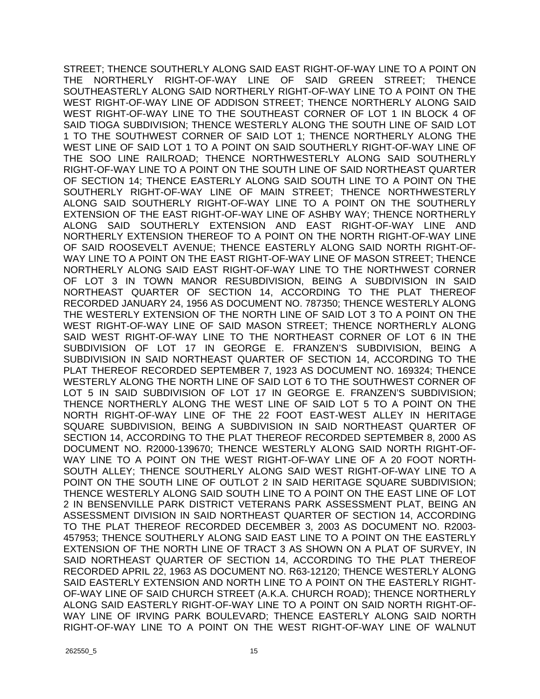STREET; THENCE SOUTHERLY ALONG SAID EAST RIGHT-OF-WAY LINE TO A POINT ON THE NORTHERLY RIGHT-OF-WAY LINE OF SAID GREEN STREET; THENCE SOUTHEASTERLY ALONG SAID NORTHERLY RIGHT-OF-WAY LINE TO A POINT ON THE WEST RIGHT-OF-WAY LINE OF ADDISON STREET; THENCE NORTHERLY ALONG SAID WEST RIGHT-OF-WAY LINE TO THE SOUTHEAST CORNER OF LOT 1 IN BLOCK 4 OF SAID TIOGA SUBDIVISION; THENCE WESTERLY ALONG THE SOUTH LINE OF SAID LOT 1 TO THE SOUTHWEST CORNER OF SAID LOT 1; THENCE NORTHERLY ALONG THE WEST LINE OF SAID LOT 1 TO A POINT ON SAID SOUTHERLY RIGHT-OF-WAY LINE OF THE SOO LINE RAILROAD; THENCE NORTHWESTERLY ALONG SAID SOUTHERLY RIGHT-OF-WAY LINE TO A POINT ON THE SOUTH LINE OF SAID NORTHEAST QUARTER OF SECTION 14; THENCE EASTERLY ALONG SAID SOUTH LINE TO A POINT ON THE SOUTHERLY RIGHT-OF-WAY LINE OF MAIN STREET; THENCE NORTHWESTERLY ALONG SAID SOUTHERLY RIGHT-OF-WAY LINE TO A POINT ON THE SOUTHERLY EXTENSION OF THE EAST RIGHT-OF-WAY LINE OF ASHBY WAY; THENCE NORTHERLY ALONG SAID SOUTHERLY EXTENSION AND EAST RIGHT-OF-WAY LINE AND NORTHERLY EXTENSION THEREOF TO A POINT ON THE NORTH RIGHT-OF-WAY LINE OF SAID ROOSEVELT AVENUE; THENCE EASTERLY ALONG SAID NORTH RIGHT-OF-WAY LINE TO A POINT ON THE EAST RIGHT-OF-WAY LINE OF MASON STREET; THENCE NORTHERLY ALONG SAID EAST RIGHT-OF-WAY LINE TO THE NORTHWEST CORNER OF LOT 3 IN TOWN MANOR RESUBDIVISION, BEING A SUBDIVISION IN SAID NORTHEAST QUARTER OF SECTION 14, ACCORDING TO THE PLAT THEREOF RECORDED JANUARY 24, 1956 AS DOCUMENT NO. 787350; THENCE WESTERLY ALONG THE WESTERLY EXTENSION OF THE NORTH LINE OF SAID LOT 3 TO A POINT ON THE WEST RIGHT-OF-WAY LINE OF SAID MASON STREET; THENCE NORTHERLY ALONG SAID WEST RIGHT-OF-WAY LINE TO THE NORTHEAST CORNER OF LOT 6 IN THE SUBDIVISION OF LOT 17 IN GEORGE E. FRANZEN'S SUBDIVISION, BEING A SUBDIVISION IN SAID NORTHEAST QUARTER OF SECTION 14, ACCORDING TO THE PLAT THEREOF RECORDED SEPTEMBER 7, 1923 AS DOCUMENT NO. 169324; THENCE WESTERLY ALONG THE NORTH LINE OF SAID LOT 6 TO THE SOUTHWEST CORNER OF LOT 5 IN SAID SUBDIVISION OF LOT 17 IN GEORGE E. FRANZEN'S SUBDIVISION; THENCE NORTHERLY ALONG THE WEST LINE OF SAID LOT 5 TO A POINT ON THE NORTH RIGHT-OF-WAY LINE OF THE 22 FOOT EAST-WEST ALLEY IN HERITAGE SQUARE SUBDIVISION, BEING A SUBDIVISION IN SAID NORTHEAST QUARTER OF SECTION 14, ACCORDING TO THE PLAT THEREOF RECORDED SEPTEMBER 8, 2000 AS DOCUMENT NO. R2000-139670; THENCE WESTERLY ALONG SAID NORTH RIGHT-OF-WAY LINE TO A POINT ON THE WEST RIGHT-OF-WAY LINE OF A 20 FOOT NORTH-SOUTH ALLEY; THENCE SOUTHERLY ALONG SAID WEST RIGHT-OF-WAY LINE TO A POINT ON THE SOUTH LINE OF OUTLOT 2 IN SAID HERITAGE SQUARE SUBDIVISION; THENCE WESTERLY ALONG SAID SOUTH LINE TO A POINT ON THE EAST LINE OF LOT 2 IN BENSENVILLE PARK DISTRICT VETERANS PARK ASSESSMENT PLAT, BEING AN ASSESSMENT DIVISION IN SAID NORTHEAST QUARTER OF SECTION 14, ACCORDING TO THE PLAT THEREOF RECORDED DECEMBER 3, 2003 AS DOCUMENT NO. R2003- 457953; THENCE SOUTHERLY ALONG SAID EAST LINE TO A POINT ON THE EASTERLY EXTENSION OF THE NORTH LINE OF TRACT 3 AS SHOWN ON A PLAT OF SURVEY, IN SAID NORTHEAST QUARTER OF SECTION 14, ACCORDING TO THE PLAT THEREOF RECORDED APRIL 22, 1963 AS DOCUMENT NO. R63-12120; THENCE WESTERLY ALONG SAID EASTERLY EXTENSION AND NORTH LINE TO A POINT ON THE EASTERLY RIGHT-OF-WAY LINE OF SAID CHURCH STREET (A.K.A. CHURCH ROAD); THENCE NORTHERLY ALONG SAID EASTERLY RIGHT-OF-WAY LINE TO A POINT ON SAID NORTH RIGHT-OF-WAY LINE OF IRVING PARK BOULEVARD; THENCE EASTERLY ALONG SAID NORTH RIGHT-OF-WAY LINE TO A POINT ON THE WEST RIGHT-OF-WAY LINE OF WALNUT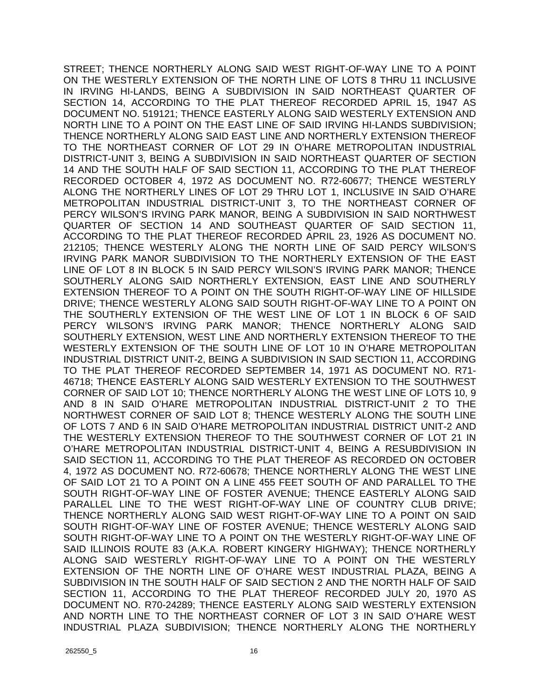STREET; THENCE NORTHERLY ALONG SAID WEST RIGHT-OF-WAY LINE TO A POINT ON THE WESTERLY EXTENSION OF THE NORTH LINE OF LOTS 8 THRU 11 INCLUSIVE IN IRVING HI-LANDS, BEING A SUBDIVISION IN SAID NORTHEAST QUARTER OF SECTION 14, ACCORDING TO THE PLAT THEREOF RECORDED APRIL 15, 1947 AS DOCUMENT NO. 519121; THENCE EASTERLY ALONG SAID WESTERLY EXTENSION AND NORTH LINE TO A POINT ON THE EAST LINE OF SAID IRVING HI-LANDS SUBDIVISION; THENCE NORTHERLY ALONG SAID EAST LINE AND NORTHERLY EXTENSION THEREOF TO THE NORTHEAST CORNER OF LOT 29 IN O'HARE METROPOLITAN INDUSTRIAL DISTRICT-UNIT 3, BEING A SUBDIVISION IN SAID NORTHEAST QUARTER OF SECTION 14 AND THE SOUTH HALF OF SAID SECTION 11, ACCORDING TO THE PLAT THEREOF RECORDED OCTOBER 4, 1972 AS DOCUMENT NO. R72-60677; THENCE WESTERLY ALONG THE NORTHERLY LINES OF LOT 29 THRU LOT 1, INCLUSIVE IN SAID O'HARE METROPOLITAN INDUSTRIAL DISTRICT-UNIT 3, TO THE NORTHEAST CORNER OF PERCY WILSON'S IRVING PARK MANOR, BEING A SUBDIVISION IN SAID NORTHWEST QUARTER OF SECTION 14 AND SOUTHEAST QUARTER OF SAID SECTION 11, ACCORDING TO THE PLAT THEREOF RECORDED APRIL 23, 1926 AS DOCUMENT NO. 212105; THENCE WESTERLY ALONG THE NORTH LINE OF SAID PERCY WILSON'S IRVING PARK MANOR SUBDIVISION TO THE NORTHERLY EXTENSION OF THE EAST LINE OF LOT 8 IN BLOCK 5 IN SAID PERCY WILSON'S IRVING PARK MANOR; THENCE SOUTHERLY ALONG SAID NORTHERLY EXTENSION, EAST LINE AND SOUTHERLY EXTENSION THEREOF TO A POINT ON THE SOUTH RIGHT-OF-WAY LINE OF HILLSIDE DRIVE; THENCE WESTERLY ALONG SAID SOUTH RIGHT-OF-WAY LINE TO A POINT ON THE SOUTHERLY EXTENSION OF THE WEST LINE OF LOT 1 IN BLOCK 6 OF SAID PERCY WILSON'S IRVING PARK MANOR; THENCE NORTHERLY ALONG SAID SOUTHERLY EXTENSION, WEST LINE AND NORTHERLY EXTENSION THEREOF TO THE WESTERLY EXTENSION OF THE SOUTH LINE OF LOT 10 IN O'HARE METROPOLITAN INDUSTRIAL DISTRICT UNIT-2, BEING A SUBDIVISION IN SAID SECTION 11, ACCORDING TO THE PLAT THEREOF RECORDED SEPTEMBER 14, 1971 AS DOCUMENT NO. R71- 46718; THENCE EASTERLY ALONG SAID WESTERLY EXTENSION TO THE SOUTHWEST CORNER OF SAID LOT 10; THENCE NORTHERLY ALONG THE WEST LINE OF LOTS 10, 9 AND 8 IN SAID O'HARE METROPOLITAN INDUSTRIAL DISTRICT-UNIT 2 TO THE NORTHWEST CORNER OF SAID LOT 8; THENCE WESTERLY ALONG THE SOUTH LINE OF LOTS 7 AND 6 IN SAID O'HARE METROPOLITAN INDUSTRIAL DISTRICT UNIT-2 AND THE WESTERLY EXTENSION THEREOF TO THE SOUTHWEST CORNER OF LOT 21 IN O'HARE METROPOLITAN INDUSTRIAL DISTRICT-UNIT 4, BEING A RESUBDIVISION IN SAID SECTION 11, ACCORDING TO THE PLAT THEREOF AS RECORDED ON OCTOBER 4, 1972 AS DOCUMENT NO. R72-60678; THENCE NORTHERLY ALONG THE WEST LINE OF SAID LOT 21 TO A POINT ON A LINE 455 FEET SOUTH OF AND PARALLEL TO THE SOUTH RIGHT-OF-WAY LINE OF FOSTER AVENUE; THENCE EASTERLY ALONG SAID PARALLEL LINE TO THE WEST RIGHT-OF-WAY LINE OF COUNTRY CLUB DRIVE; THENCE NORTHERLY ALONG SAID WEST RIGHT-OF-WAY LINE TO A POINT ON SAID SOUTH RIGHT-OF-WAY LINE OF FOSTER AVENUE; THENCE WESTERLY ALONG SAID SOUTH RIGHT-OF-WAY LINE TO A POINT ON THE WESTERLY RIGHT-OF-WAY LINE OF SAID ILLINOIS ROUTE 83 (A.K.A. ROBERT KINGERY HIGHWAY); THENCE NORTHERLY ALONG SAID WESTERLY RIGHT-OF-WAY LINE TO A POINT ON THE WESTERLY EXTENSION OF THE NORTH LINE OF O'HARE WEST INDUSTRIAL PLAZA, BEING A SUBDIVISION IN THE SOUTH HALF OF SAID SECTION 2 AND THE NORTH HALF OF SAID SECTION 11, ACCORDING TO THE PLAT THEREOF RECORDED JULY 20, 1970 AS DOCUMENT NO. R70-24289; THENCE EASTERLY ALONG SAID WESTERLY EXTENSION AND NORTH LINE TO THE NORTHEAST CORNER OF LOT 3 IN SAID O'HARE WEST INDUSTRIAL PLAZA SUBDIVISION; THENCE NORTHERLY ALONG THE NORTHERLY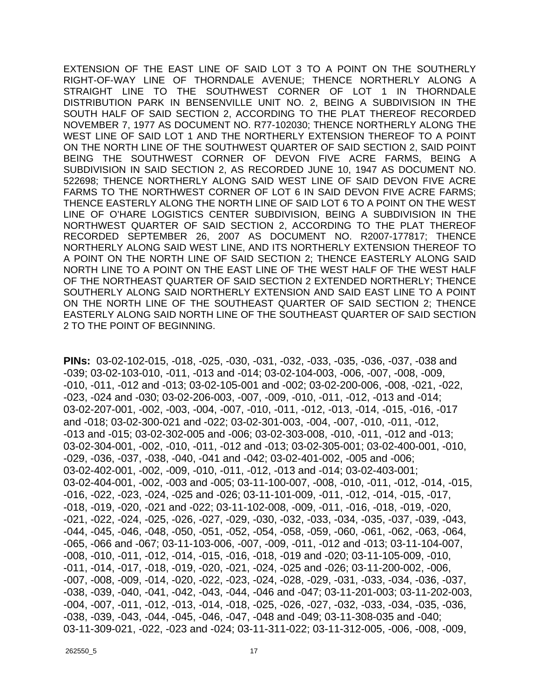EXTENSION OF THE EAST LINE OF SAID LOT 3 TO A POINT ON THE SOUTHERLY RIGHT-OF-WAY LINE OF THORNDALE AVENUE; THENCE NORTHERLY ALONG A STRAIGHT LINE TO THE SOUTHWEST CORNER OF LOT 1 IN THORNDALE DISTRIBUTION PARK IN BENSENVILLE UNIT NO. 2, BEING A SUBDIVISION IN THE SOUTH HALF OF SAID SECTION 2, ACCORDING TO THE PLAT THEREOF RECORDED NOVEMBER 7, 1977 AS DOCUMENT NO. R77-102030; THENCE NORTHERLY ALONG THE WEST LINE OF SAID LOT 1 AND THE NORTHERLY EXTENSION THEREOF TO A POINT ON THE NORTH LINE OF THE SOUTHWEST QUARTER OF SAID SECTION 2, SAID POINT BEING THE SOUTHWEST CORNER OF DEVON FIVE ACRE FARMS, BEING A SUBDIVISION IN SAID SECTION 2, AS RECORDED JUNE 10, 1947 AS DOCUMENT NO. 522698; THENCE NORTHERLY ALONG SAID WEST LINE OF SAID DEVON FIVE ACRE FARMS TO THE NORTHWEST CORNER OF LOT 6 IN SAID DEVON FIVE ACRE FARMS; THENCE EASTERLY ALONG THE NORTH LINE OF SAID LOT 6 TO A POINT ON THE WEST LINE OF O'HARE LOGISTICS CENTER SUBDIVISION, BEING A SUBDIVISION IN THE NORTHWEST QUARTER OF SAID SECTION 2, ACCORDING TO THE PLAT THEREOF RECORDED SEPTEMBER 26, 2007 AS DOCUMENT NO. R2007-177817; THENCE NORTHERLY ALONG SAID WEST LINE, AND ITS NORTHERLY EXTENSION THEREOF TO A POINT ON THE NORTH LINE OF SAID SECTION 2; THENCE EASTERLY ALONG SAID NORTH LINE TO A POINT ON THE EAST LINE OF THE WEST HALF OF THE WEST HALF OF THE NORTHEAST QUARTER OF SAID SECTION 2 EXTENDED NORTHERLY; THENCE SOUTHERLY ALONG SAID NORTHERLY EXTENSION AND SAID EAST LINE TO A POINT ON THE NORTH LINE OF THE SOUTHEAST QUARTER OF SAID SECTION 2; THENCE EASTERLY ALONG SAID NORTH LINE OF THE SOUTHEAST QUARTER OF SAID SECTION 2 TO THE POINT OF BEGINNING.

**PINs:** 03-02-102-015, -018, -025, -030, -031, -032, -033, -035, -036, -037, -038 and -039; 03-02-103-010, -011, -013 and -014; 03-02-104-003, -006, -007, -008, -009, -010, -011, -012 and -013; 03-02-105-001 and -002; 03-02-200-006, -008, -021, -022, -023, -024 and -030; 03-02-206-003, -007, -009, -010, -011, -012, -013 and -014; 03-02-207-001, -002, -003, -004, -007, -010, -011, -012, -013, -014, -015, -016, -017 and -018; 03-02-300-021 and -022; 03-02-301-003, -004, -007, -010, -011, -012, -013 and -015; 03-02-302-005 and -006; 03-02-303-008, -010, -011, -012 and -013; 03-02-304-001, -002, -010, -011, -012 and -013; 03-02-305-001; 03-02-400-001, -010, -029, -036, -037, -038, -040, -041 and -042; 03-02-401-002, -005 and -006; 03-02-402-001, -002, -009, -010, -011, -012, -013 and -014; 03-02-403-001; 03-02-404-001, -002, -003 and -005; 03-11-100-007, -008, -010, -011, -012, -014, -015, -016, -022, -023, -024, -025 and -026; 03-11-101-009, -011, -012, -014, -015, -017, -018, -019, -020, -021 and -022; 03-11-102-008, -009, -011, -016, -018, -019, -020, -021, -022, -024, -025, -026, -027, -029, -030, -032, -033, -034, -035, -037, -039, -043, -044, -045, -046, -048, -050, -051, -052, -054, -058, -059, -060, -061, -062, -063, -064, -065, -066 and -067; 03-11-103-006, -007, -009, -011, -012 and -013; 03-11-104-007, -008, -010, -011, -012, -014, -015, -016, -018, -019 and -020; 03-11-105-009, -010, -011, -014, -017, -018, -019, -020, -021, -024, -025 and -026; 03-11-200-002, -006, -007, -008, -009, -014, -020, -022, -023, -024, -028, -029, -031, -033, -034, -036, -037, -038, -039, -040, -041, -042, -043, -044, -046 and -047; 03-11-201-003; 03-11-202-003, -004, -007, -011, -012, -013, -014, -018, -025, -026, -027, -032, -033, -034, -035, -036, -038, -039, -043, -044, -045, -046, -047, -048 and -049; 03-11-308-035 and -040; 03-11-309-021, -022, -023 and -024; 03-11-311-022; 03-11-312-005, -006, -008, -009,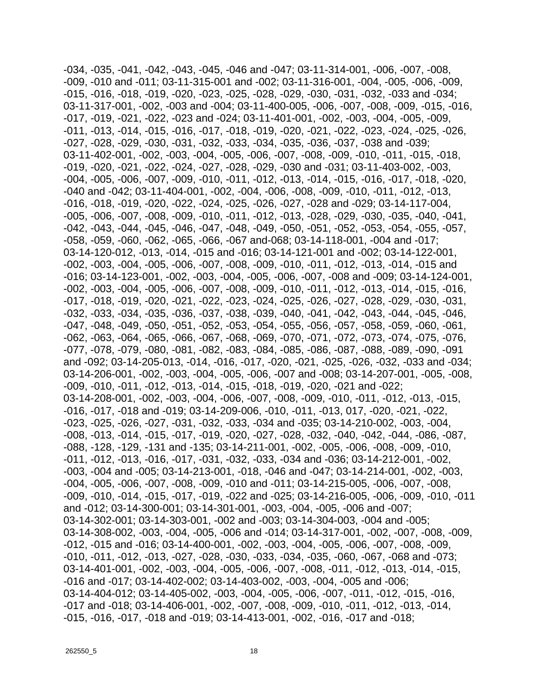-034, -035, -041, -042, -043, -045, -046 and -047; 03-11-314-001, -006, -007, -008, -009, -010 and -011; 03-11-315-001 and -002; 03-11-316-001, -004, -005, -006, -009, -015, -016, -018, -019, -020, -023, -025, -028, -029, -030, -031, -032, -033 and -034; 03-11-317-001, -002, -003 and -004; 03-11-400-005, -006, -007, -008, -009, -015, -016, -017, -019, -021, -022, -023 and -024; 03-11-401-001, -002, -003, -004, -005, -009, -011, -013, -014, -015, -016, -017, -018, -019, -020, -021, -022, -023, -024, -025, -026, -027, -028, -029, -030, -031, -032, -033, -034, -035, -036, -037, -038 and -039; 03-11-402-001, -002, -003, -004, -005, -006, -007, -008, -009, -010, -011, -015, -018, -019, -020, -021, -022, -024, -027, -028, -029, -030 and -031; 03-11-403-002, -003, -004, -005, -006, -007, -009, -010, -011, -012, -013, -014, -015, -016, -017, -018, -020, -040 and -042; 03-11-404-001, -002, -004, -006, -008, -009, -010, -011, -012, -013, -016, -018, -019, -020, -022, -024, -025, -026, -027, -028 and -029; 03-14-117-004, -005, -006, -007, -008, -009, -010, -011, -012, -013, -028, -029, -030, -035, -040, -041, -042, -043, -044, -045, -046, -047, -048, -049, -050, -051, -052, -053, -054, -055, -057, -058, -059, -060, -062, -065, -066, -067 and-068; 03-14-118-001, -004 and -017; 03-14-120-012, -013, -014, -015 and -016; 03-14-121-001 and -002; 03-14-122-001, -002, -003, -004, -005, -006, -007, -008, -009, -010, -011, -012, -013, -014, -015 and -016; 03-14-123-001, -002, -003, -004, -005, -006, -007, -008 and -009; 03-14-124-001, -002, -003, -004, -005, -006, -007, -008, -009, -010, -011, -012, -013, -014, -015, -016, -017, -018, -019, -020, -021, -022, -023, -024, -025, -026, -027, -028, -029, -030, -031, -032, -033, -034, -035, -036, -037, -038, -039, -040, -041, -042, -043, -044, -045, -046, -047, -048, -049, -050, -051, -052, -053, -054, -055, -056, -057, -058, -059, -060, -061, -062, -063, -064, -065, -066, -067, -068, -069, -070, -071, -072, -073, -074, -075, -076, -077, -078, -079, -080, -081, -082, -083, -084, -085, -086, -087, -088, -089, -090, -091 and -092; 03-14-205-013, -014, -016, -017, -020, -021, -025, -026, -032, -033 and -034; 03-14-206-001, -002, -003, -004, -005, -006, -007 and -008; 03-14-207-001, -005, -008, -009, -010, -011, -012, -013, -014, -015, -018, -019, -020, -021 and -022; 03-14-208-001, -002, -003, -004, -006, -007, -008, -009, -010, -011, -012, -013, -015, -016, -017, -018 and -019; 03-14-209-006, -010, -011, -013, 017, -020, -021, -022, -023, -025, -026, -027, -031, -032, -033, -034 and -035; 03-14-210-002, -003, -004, -008, -013, -014, -015, -017, -019, -020, -027, -028, -032, -040, -042, -044, -086, -087, -088, -128, -129, -131 and -135; 03-14-211-001, -002, -005, -006, -008, -009, -010, -011, -012, -013, -016, -017, -031, -032, -033, -034 and -036; 03-14-212-001, -002, -003, -004 and -005; 03-14-213-001, -018, -046 and -047; 03-14-214-001, -002, -003, -004, -005, -006, -007, -008, -009, -010 and -011; 03-14-215-005, -006, -007, -008, -009, -010, -014, -015, -017, -019, -022 and -025; 03-14-216-005, -006, -009, -010, -011 and -012; 03-14-300-001; 03-14-301-001, -003, -004, -005, -006 and -007; 03-14-302-001; 03-14-303-001, -002 and -003; 03-14-304-003, -004 and -005; 03-14-308-002, -003, -004, -005, -006 and -014; 03-14-317-001, -002, -007, -008, -009, -012, -015 and -016; 03-14-400-001, -002, -003, -004, -005, -006, -007, -008, -009, -010, -011, -012, -013, -027, -028, -030, -033, -034, -035, -060, -067, -068 and -073; 03-14-401-001, -002, -003, -004, -005, -006, -007, -008, -011, -012, -013, -014, -015, -016 and -017; 03-14-402-002; 03-14-403-002, -003, -004, -005 and -006; 03-14-404-012; 03-14-405-002, -003, -004, -005, -006, -007, -011, -012, -015, -016, -017 and -018; 03-14-406-001, -002, -007, -008, -009, -010, -011, -012, -013, -014, -015, -016, -017, -018 and -019; 03-14-413-001, -002, -016, -017 and -018;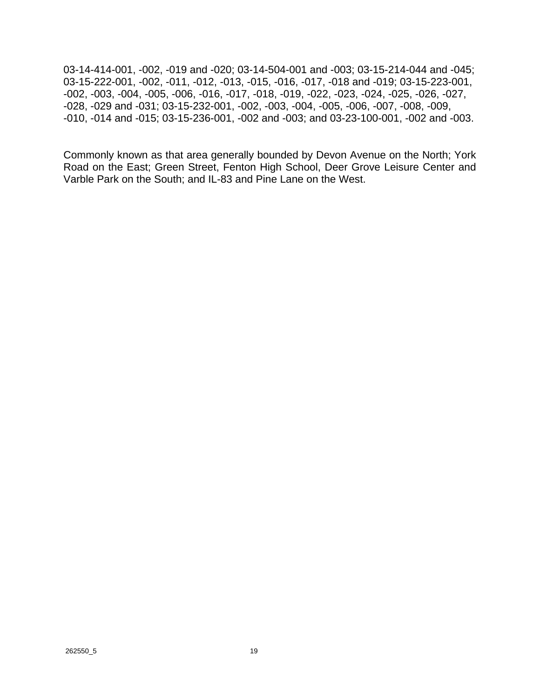03-14-414-001, -002, -019 and -020; 03-14-504-001 and -003; 03-15-214-044 and -045; 03-15-222-001, -002, -011, -012, -013, -015, -016, -017, -018 and -019; 03-15-223-001, -002, -003, -004, -005, -006, -016, -017, -018, -019, -022, -023, -024, -025, -026, -027, -028, -029 and -031; 03-15-232-001, -002, -003, -004, -005, -006, -007, -008, -009, -010, -014 and -015; 03-15-236-001, -002 and -003; and 03-23-100-001, -002 and -003.

Commonly known as that area generally bounded by Devon Avenue on the North; York Road on the East; Green Street, Fenton High School, Deer Grove Leisure Center and Varble Park on the South; and IL-83 and Pine Lane on the West.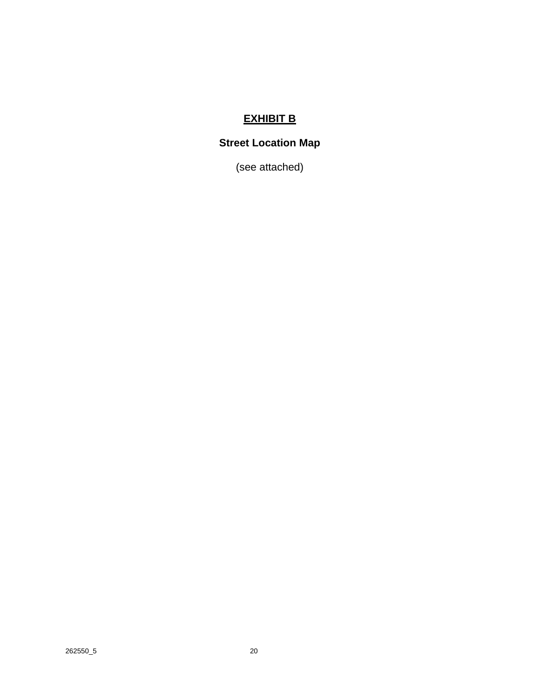## **EXHIBIT B**

# **Street Location Map**

(see attached)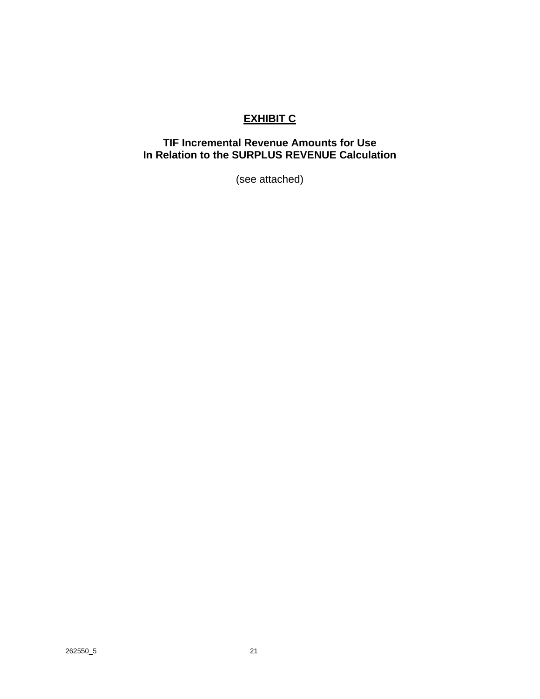## **EXHIBIT C**

### **TIF Incremental Revenue Amounts for Use In Relation to the SURPLUS REVENUE Calculation**

(see attached)